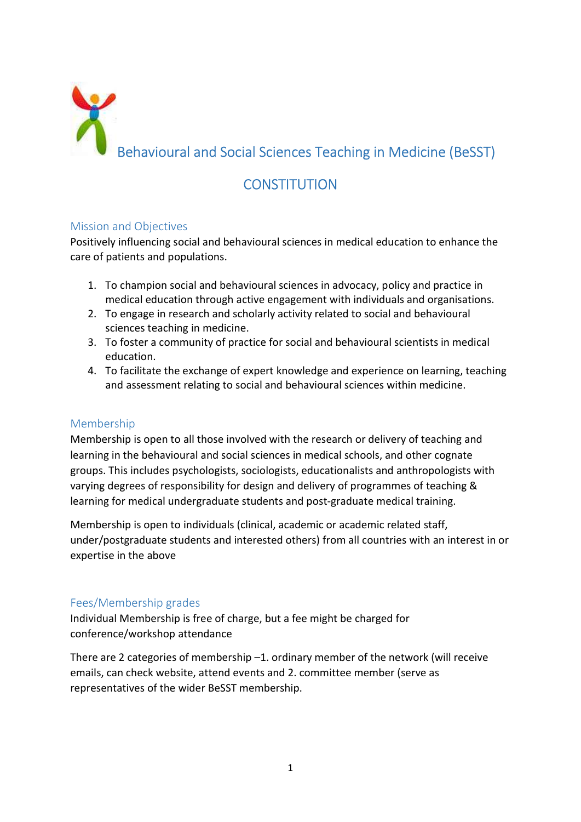

# CONSTITUTION

# Mission and Objectives

Positively influencing social and behavioural sciences in medical education to enhance the care of patients and populations.

- 1. To champion social and behavioural sciences in advocacy, policy and practice in medical education through active engagement with individuals and organisations.
- 2. To engage in research and scholarly activity related to social and behavioural sciences teaching in medicine.
- 3. To foster a community of practice for social and behavioural scientists in medical education.
- 4. To facilitate the exchange of expert knowledge and experience on learning, teaching and assessment relating to social and behavioural sciences within medicine.

# Membership

Membership is open to all those involved with the research or delivery of teaching and learning in the behavioural and social sciences in medical schools, and other cognate groups. This includes psychologists, sociologists, educationalists and anthropologists with varying degrees of responsibility for design and delivery of programmes of teaching & learning for medical undergraduate students and post-graduate medical training.

Membership is open to individuals (clinical, academic or academic related staff, under/postgraduate students and interested others) from all countries with an interest in or expertise in the above

## Fees/Membership grades

Individual Membership is free of charge, but a fee might be charged for conference/workshop attendance

There are 2 categories of membership –1. ordinary member of the network (will receive emails, can check website, attend events and 2. committee member (serve as representatives of the wider BeSST membership.